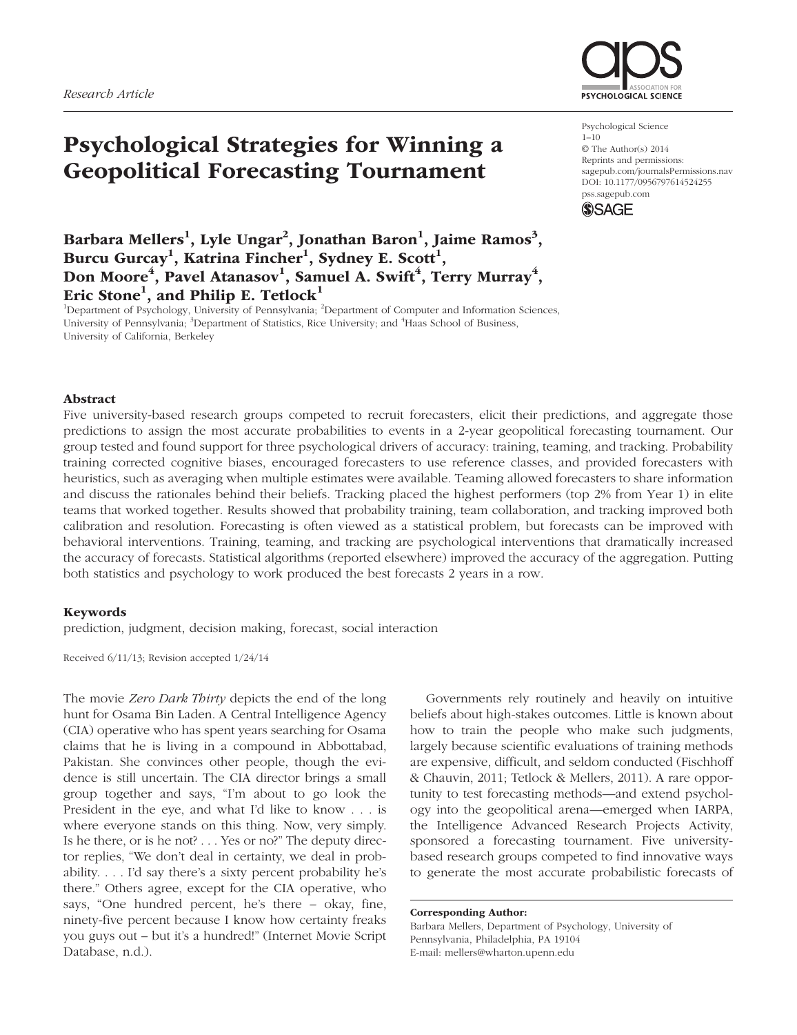*Research Article*

# Psychological Strategies for Winning a Geopolitical Forecasting Tournament

Barbara Mellers<sup>1</sup>, Lyle Ungar<sup>2</sup>, Jonathan Baron<sup>1</sup>, Jaime Ramos<sup>3</sup>, Burcu Gurcay<sup>1</sup>, Katrina Fincher<sup>1</sup>, Sydney E. Scott<sup>1</sup>, Don Moore<sup>4</sup>, Pavel Atanasov<sup>1</sup>, Samuel A. Swift<sup>4</sup>, Terry Murray<sup>4</sup>, Eric Stone<sup>1</sup>, and Philip E. Tetlock<sup>1</sup>

<sup>1</sup>Department of Psychology, University of Pennsylvania; <sup>2</sup>Department of Computer and Information Sciences, University of Pennsylvania; <sup>3</sup>Department of Statistics, Rice University; and <sup>4</sup>Haas School of Business, University of California, Berkeley

## Abstract

Five university-based research groups competed to recruit forecasters, elicit their predictions, and aggregate those predictions to assign the most accurate probabilities to events in a 2-year geopolitical forecasting tournament. Our group tested and found support for three psychological drivers of accuracy: training, teaming, and tracking. Probability training corrected cognitive biases, encouraged forecasters to use reference classes, and provided forecasters with heuristics, such as averaging when multiple estimates were available. Teaming allowed forecasters to share information and discuss the rationales behind their beliefs. Tracking placed the highest performers (top 2% from Year 1) in elite teams that worked together. Results showed that probability training, team collaboration, and tracking improved both calibration and resolution. Forecasting is often viewed as a statistical problem, but forecasts can be improved with behavioral interventions. Training, teaming, and tracking are psychological interventions that dramatically increased the accuracy of forecasts. Statistical algorithms (reported elsewhere) improved the accuracy of the aggregation. Putting both statistics and psychology to work produced the best forecasts 2 years in a row.

### Keywords

prediction, judgment, decision making, forecast, social interaction

Received 6/11/13; Revision accepted 1/24/14

The movie *Zero Dark Thirty* depicts the end of the long hunt for Osama Bin Laden. A Central Intelligence Agency (CIA) operative who has spent years searching for Osama claims that he is living in a compound in Abbottabad, Pakistan. She convinces other people, though the evidence is still uncertain. The CIA director brings a small group together and says, "I'm about to go look the President in the eye, and what I'd like to know . . . is where everyone stands on this thing. Now, very simply. Is he there, or is he not? . . . Yes or no?" The deputy director replies, "We don't deal in certainty, we deal in probability. . . . I'd say there's a sixty percent probability he's there." Others agree, except for the CIA operative, who says, "One hundred percent, he's there – okay, fine, ninety-five percent because I know how certainty freaks you guys out – but it's a hundred!" (Internet Movie Script Database, n.d.).

Governments rely routinely and heavily on intuitive beliefs about high-stakes outcomes. Little is known about how to train the people who make such judgments, largely because scientific evaluations of training methods are expensive, difficult, and seldom conducted (Fischhoff & Chauvin, 2011; Tetlock & Mellers, 2011). A rare opportunity to test forecasting methods—and extend psychology into the geopolitical arena—emerged when IARPA, the Intelligence Advanced Research Projects Activity, sponsored a forecasting tournament. Five universitybased research groups competed to find innovative ways to generate the most accurate probabilistic forecasts of

#### Corresponding Author:

Barbara Mellers, Department of Psychology, University of Pennsylvania, Philadelphia, PA 19104 E-mail: mellers@wharton.upenn.edu



Psychological Science 1–10 © The Author(s) 2014 Reprints and permissions: sagepub.com/journalsPermissions.nav DOI: 10.1177/0956797614524255 pss.sagepub.com

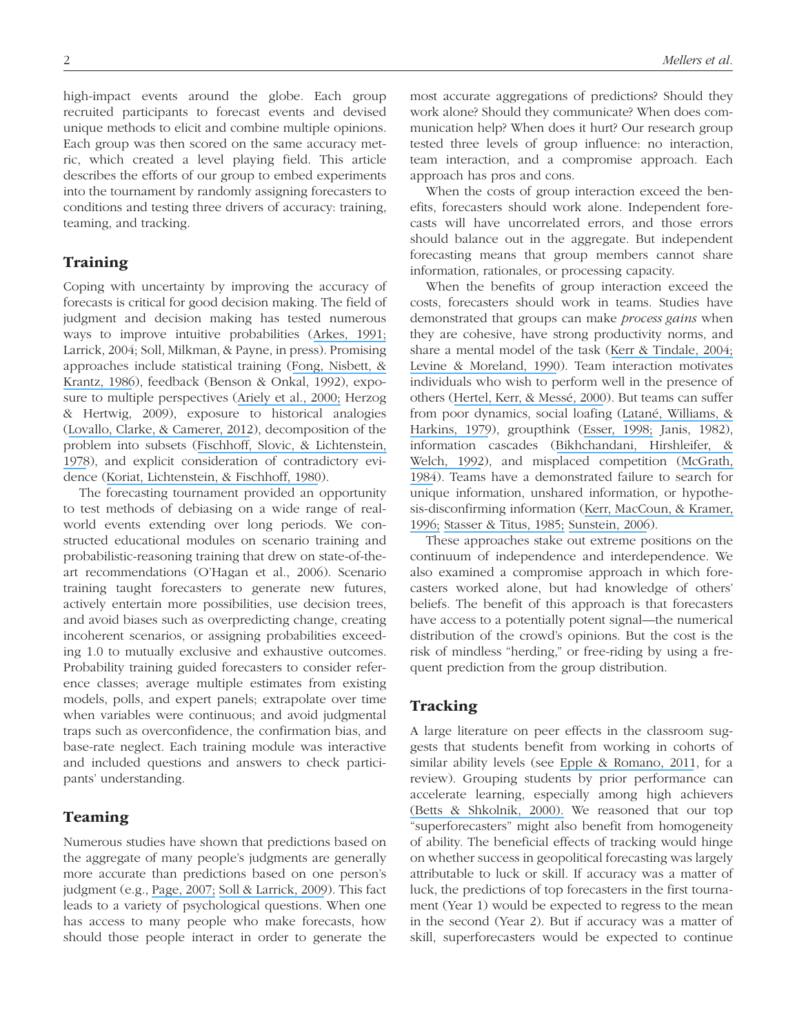high-impact events around the globe. Each group recruited participants to forecast events and devised unique methods to elicit and combine multiple opinions. Each group was then scored on the same accuracy metric, which created a level playing field. This article describes the efforts of our group to embed experiments into the tournament by randomly assigning forecasters to conditions and testing three drivers of accuracy: training, teaming, and tracking.

## Training

Coping with uncertainty by improving the accuracy of forecasts is critical for good decision making. The field of judgment and decision making has tested numerous ways to improve intuitive probabilities ([Arkes, 1991;](https://www.researchgate.net/publication/278947150_Costs_and_benefits_of_judgment_errors_Implications_for_debiasing?el=1_x_8&enrichId=rgreq-c4c7e393-1d98-4f72-8ee0-c48a1c2e5f1b&enrichSource=Y292ZXJQYWdlOzI2MTAzNDkzODtBUzoxMDMwNjAwNTk3MjE3MzZAMTQwMTU4Mjg0MzAwMw==) Larrick, 2004; Soll, Milkman, & Payne, in press). Promising approaches include statistical training ([Fong, Nisbett, &](https://www.researchgate.net/publication/222463501_The_Effects_of_Statistical_Training_on_Thinking_About_Everyday_Problems?el=1_x_8&enrichId=rgreq-c4c7e393-1d98-4f72-8ee0-c48a1c2e5f1b&enrichSource=Y292ZXJQYWdlOzI2MTAzNDkzODtBUzoxMDMwNjAwNTk3MjE3MzZAMTQwMTU4Mjg0MzAwMw==) [Krantz, 1986](https://www.researchgate.net/publication/222463501_The_Effects_of_Statistical_Training_on_Thinking_About_Everyday_Problems?el=1_x_8&enrichId=rgreq-c4c7e393-1d98-4f72-8ee0-c48a1c2e5f1b&enrichSource=Y292ZXJQYWdlOzI2MTAzNDkzODtBUzoxMDMwNjAwNTk3MjE3MzZAMTQwMTU4Mjg0MzAwMw==)), feedback (Benson & Onkal, 1992), exposure to multiple perspectives ([Ariely et al., 2000;](https://www.researchgate.net/publication/232599275_The_Effects_of_Averaging_Subjective_Probability_Estimates_Between_and_Within_Judges?el=1_x_8&enrichId=rgreq-c4c7e393-1d98-4f72-8ee0-c48a1c2e5f1b&enrichSource=Y292ZXJQYWdlOzI2MTAzNDkzODtBUzoxMDMwNjAwNTk3MjE3MzZAMTQwMTU4Mjg0MzAwMw==) Herzog & Hertwig, 2009), exposure to historical analogies ([Lovallo, Clarke, & Camerer, 2012](https://www.researchgate.net/publication/230531969_Robust_analogizing_and_the_outside_view_Two_empirical_tests_of_case-based_decision_making?el=1_x_8&enrichId=rgreq-c4c7e393-1d98-4f72-8ee0-c48a1c2e5f1b&enrichSource=Y292ZXJQYWdlOzI2MTAzNDkzODtBUzoxMDMwNjAwNTk3MjE3MzZAMTQwMTU4Mjg0MzAwMw==)), decomposition of the problem into subsets ([Fischhoff, Slovic, & Lichtenstein,](https://www.researchgate.net/publication/232588003_Fault_Trees_Sensitivity_of_Estimated_Failure_Probability_to_Problem_Representation?el=1_x_8&enrichId=rgreq-c4c7e393-1d98-4f72-8ee0-c48a1c2e5f1b&enrichSource=Y292ZXJQYWdlOzI2MTAzNDkzODtBUzoxMDMwNjAwNTk3MjE3MzZAMTQwMTU4Mjg0MzAwMw==)  [1978](https://www.researchgate.net/publication/232588003_Fault_Trees_Sensitivity_of_Estimated_Failure_Probability_to_Problem_Representation?el=1_x_8&enrichId=rgreq-c4c7e393-1d98-4f72-8ee0-c48a1c2e5f1b&enrichSource=Y292ZXJQYWdlOzI2MTAzNDkzODtBUzoxMDMwNjAwNTk3MjE3MzZAMTQwMTU4Mjg0MzAwMw==)), and explicit consideration of contradictory evidence ([Koriat, Lichtenstein, & Fischhoff, 1980](https://www.researchgate.net/publication/232480329_Reasons_For_Confidence?el=1_x_8&enrichId=rgreq-c4c7e393-1d98-4f72-8ee0-c48a1c2e5f1b&enrichSource=Y292ZXJQYWdlOzI2MTAzNDkzODtBUzoxMDMwNjAwNTk3MjE3MzZAMTQwMTU4Mjg0MzAwMw==)).

The forecasting tournament provided an opportunity to test methods of debiasing on a wide range of realworld events extending over long periods. We constructed educational modules on scenario training and probabilistic-reasoning training that drew on state-of-theart recommendations (O'Hagan et al., 2006). Scenario training taught forecasters to generate new futures, actively entertain more possibilities, use decision trees, and avoid biases such as overpredicting change, creating incoherent scenarios, or assigning probabilities exceeding 1.0 to mutually exclusive and exhaustive outcomes. Probability training guided forecasters to consider reference classes; average multiple estimates from existing models, polls, and expert panels; extrapolate over time when variables were continuous; and avoid judgmental traps such as overconfidence, the confirmation bias, and base-rate neglect. Each training module was interactive and included questions and answers to check participants' understanding.

# Teaming

Numerous studies have shown that predictions based on the aggregate of many people's judgments are generally more accurate than predictions based on one person's judgment (e.g., [Page, 2007;](https://www.researchgate.net/publication/24117966_The_Difference_How_the_Power_of_Diversity_Creates_Better_Groups_Firms_Schools_and_Societies_New_Edition?el=1_x_8&enrichId=rgreq-c4c7e393-1d98-4f72-8ee0-c48a1c2e5f1b&enrichSource=Y292ZXJQYWdlOzI2MTAzNDkzODtBUzoxMDMwNjAwNTk3MjE3MzZAMTQwMTU4Mjg0MzAwMw==) [Soll & Larrick, 2009](https://www.researchgate.net/publication/24309964_Strategies_for_Revising_Judgment_How_and_How_Well_People_Use_Others)). This fact leads to a variety of psychological questions. When one has access to many people who make forecasts, how should those people interact in order to generate the most accurate aggregations of predictions? Should they work alone? Should they communicate? When does communication help? When does it hurt? Our research group tested three levels of group influence: no interaction, team interaction, and a compromise approach. Each approach has pros and cons.

When the costs of group interaction exceed the benefits, forecasters should work alone. Independent forecasts will have uncorrelated errors, and those errors should balance out in the aggregate. But independent forecasting means that group members cannot share information, rationales, or processing capacity.

When the benefits of group interaction exceed the costs, forecasters should work in teams. Studies have demonstrated that groups can make *process gains* when they are cohesive, have strong productivity norms, and share a mental model of the task ([Kerr & Tindale, 2004;](https://www.researchgate.net/publication/8902777_Group_Performance_and_Decision_Making?el=1_x_8&enrichId=rgreq-c4c7e393-1d98-4f72-8ee0-c48a1c2e5f1b&enrichSource=Y292ZXJQYWdlOzI2MTAzNDkzODtBUzoxMDMwNjAwNTk3MjE3MzZAMTQwMTU4Mjg0MzAwMw==)  [Levine & Moreland, 1990](https://www.researchgate.net/publication/234837378_Progress_in_Small_Group_Research?el=1_x_8&enrichId=rgreq-c4c7e393-1d98-4f72-8ee0-c48a1c2e5f1b&enrichSource=Y292ZXJQYWdlOzI2MTAzNDkzODtBUzoxMDMwNjAwNTk3MjE3MzZAMTQwMTU4Mjg0MzAwMw==)). Team interaction motivates individuals who wish to perform well in the presence of others ([Hertel, Kerr, & Messé, 2000](https://www.researchgate.net/publication/297541162_Motivation_gains_in_performance_groups_Paradigmatic_and_theoretical_developments_on_the_Kohler_effect?el=1_x_8&enrichId=rgreq-c4c7e393-1d98-4f72-8ee0-c48a1c2e5f1b&enrichSource=Y292ZXJQYWdlOzI2MTAzNDkzODtBUzoxMDMwNjAwNTk3MjE3MzZAMTQwMTU4Mjg0MzAwMw==)). But teams can suffer from poor dynamics, social loafing ([Latané, Williams, &](https://www.researchgate.net/publication/209409900_Many_Hands_Make_Light_Work_The_Causes_Consequences_of_Social_Loafing?el=1_x_8&enrichId=rgreq-c4c7e393-1d98-4f72-8ee0-c48a1c2e5f1b&enrichSource=Y292ZXJQYWdlOzI2MTAzNDkzODtBUzoxMDMwNjAwNTk3MjE3MzZAMTQwMTU4Mjg0MzAwMw==) [Harkins, 1979](https://www.researchgate.net/publication/209409900_Many_Hands_Make_Light_Work_The_Causes_Consequences_of_Social_Loafing?el=1_x_8&enrichId=rgreq-c4c7e393-1d98-4f72-8ee0-c48a1c2e5f1b&enrichSource=Y292ZXJQYWdlOzI2MTAzNDkzODtBUzoxMDMwNjAwNTk3MjE3MzZAMTQwMTU4Mjg0MzAwMw==)), groupthink ([Esser, 1998;](https://www.researchgate.net/publication/13579107_Alive_and_Well_after_25_Years_A_Review_of_Groupthink_Research?el=1_x_8&enrichId=rgreq-c4c7e393-1d98-4f72-8ee0-c48a1c2e5f1b&enrichSource=Y292ZXJQYWdlOzI2MTAzNDkzODtBUzoxMDMwNjAwNTk3MjE3MzZAMTQwMTU4Mjg0MzAwMw==) Janis, 1982), information cascades ([Bikhchandani, Hirshleifer, &](https://www.researchgate.net/publication/24103748_Ivo_Welch_1992_A_Theory_of_Fads_Fashion_Custom_and_Cultural_Change_as_Informational_Cascades?el=1_x_8&enrichId=rgreq-c4c7e393-1d98-4f72-8ee0-c48a1c2e5f1b&enrichSource=Y292ZXJQYWdlOzI2MTAzNDkzODtBUzoxMDMwNjAwNTk3MjE3MzZAMTQwMTU4Mjg0MzAwMw==) [Welch, 1992](https://www.researchgate.net/publication/24103748_Ivo_Welch_1992_A_Theory_of_Fads_Fashion_Custom_and_Cultural_Change_as_Informational_Cascades?el=1_x_8&enrichId=rgreq-c4c7e393-1d98-4f72-8ee0-c48a1c2e5f1b&enrichSource=Y292ZXJQYWdlOzI2MTAzNDkzODtBUzoxMDMwNjAwNTk3MjE3MzZAMTQwMTU4Mjg0MzAwMw==)), and misplaced competition ([McGrath,](https://www.researchgate.net/publication/205976937_Groups_Interaction_and_Performance?el=1_x_8&enrichId=rgreq-c4c7e393-1d98-4f72-8ee0-c48a1c2e5f1b&enrichSource=Y292ZXJQYWdlOzI2MTAzNDkzODtBUzoxMDMwNjAwNTk3MjE3MzZAMTQwMTU4Mjg0MzAwMw==) [1984](https://www.researchgate.net/publication/205976937_Groups_Interaction_and_Performance?el=1_x_8&enrichId=rgreq-c4c7e393-1d98-4f72-8ee0-c48a1c2e5f1b&enrichSource=Y292ZXJQYWdlOzI2MTAzNDkzODtBUzoxMDMwNjAwNTk3MjE3MzZAMTQwMTU4Mjg0MzAwMw==)). Teams have a demonstrated failure to search for unique information, unshared information, or hypothesis-disconfirming information ([Kerr, MacCoun, & Kramer,](https://www.researchgate.net/publication/209409801_Bias_in_Judgment_Comparing_Individuals_and_Groups?el=1_x_8&enrichId=rgreq-c4c7e393-1d98-4f72-8ee0-c48a1c2e5f1b&enrichSource=Y292ZXJQYWdlOzI2MTAzNDkzODtBUzoxMDMwNjAwNTk3MjE3MzZAMTQwMTU4Mjg0MzAwMw==)  [1996;](https://www.researchgate.net/publication/209409801_Bias_in_Judgment_Comparing_Individuals_and_Groups?el=1_x_8&enrichId=rgreq-c4c7e393-1d98-4f72-8ee0-c48a1c2e5f1b&enrichSource=Y292ZXJQYWdlOzI2MTAzNDkzODtBUzoxMDMwNjAwNTk3MjE3MzZAMTQwMTU4Mjg0MzAwMw==) [Stasser & Titus, 1985;](https://www.researchgate.net/publication/200772400_Pooling_of_Unshared_Information_in_Group_Decision_Making?el=1_x_8&enrichId=rgreq-c4c7e393-1d98-4f72-8ee0-c48a1c2e5f1b&enrichSource=Y292ZXJQYWdlOzI2MTAzNDkzODtBUzoxMDMwNjAwNTk3MjE3MzZAMTQwMTU4Mjg0MzAwMw==) [Sunstein, 2006](https://www.researchgate.net/publication/201169100_Infotopia_How_Many_Minds_Produce_Knowledge?el=1_x_8&enrichId=rgreq-c4c7e393-1d98-4f72-8ee0-c48a1c2e5f1b&enrichSource=Y292ZXJQYWdlOzI2MTAzNDkzODtBUzoxMDMwNjAwNTk3MjE3MzZAMTQwMTU4Mjg0MzAwMw==)).

These approaches stake out extreme positions on the continuum of independence and interdependence. We also examined a compromise approach in which forecasters worked alone, but had knowledge of others' beliefs. The benefit of this approach is that forecasters have access to a potentially potent signal—the numerical distribution of the crowd's opinions. But the cost is the risk of mindless "herding," or free-riding by using a frequent prediction from the group distribution.

# Tracking

A large literature on peer effects in the classroom suggests that students benefit from working in cohorts of similar ability levels (see [Epple & Romano, 2011](https://www.researchgate.net/publication/265110492_Peer_Effects_in_Education_A_Survey_of_the_Theory_and_Evidence?el=1_x_8&enrichId=rgreq-c4c7e393-1d98-4f72-8ee0-c48a1c2e5f1b&enrichSource=Y292ZXJQYWdlOzI2MTAzNDkzODtBUzoxMDMwNjAwNTk3MjE3MzZAMTQwMTU4Mjg0MzAwMw==), for a review). Grouping students by prior performance can accelerate learning, especially among high achievers [\(Betts & Shkolnik, 2000\).](https://www.researchgate.net/publication/222832308_Key_difficulties_in_identifying_the_effects_of_ability_grouping_on_student_achievement?el=1_x_8&enrichId=rgreq-c4c7e393-1d98-4f72-8ee0-c48a1c2e5f1b&enrichSource=Y292ZXJQYWdlOzI2MTAzNDkzODtBUzoxMDMwNjAwNTk3MjE3MzZAMTQwMTU4Mjg0MzAwMw==) We reasoned that our top "superforecasters" might also benefit from homogeneity of ability. The beneficial effects of tracking would hinge on whether success in geopolitical forecasting was largely attributable to luck or skill. If accuracy was a matter of luck, the predictions of top forecasters in the first tournament (Year 1) would be expected to regress to the mean in the second (Year 2). But if accuracy was a matter of skill, superforecasters would be expected to continue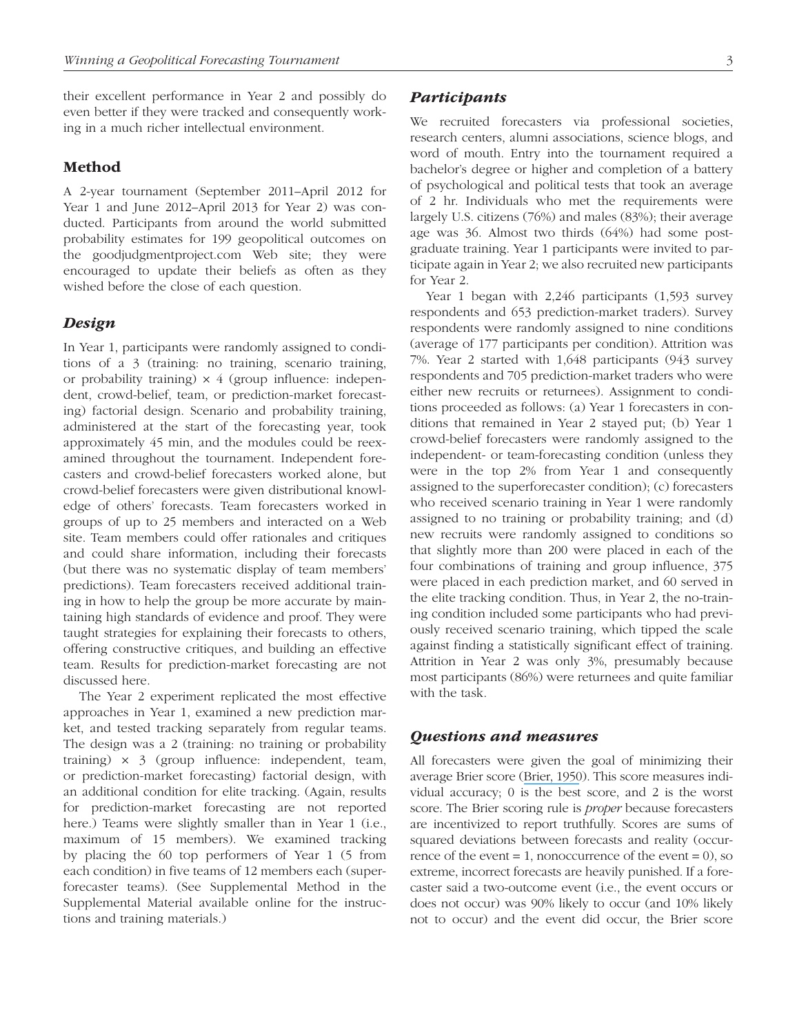their excellent performance in Year 2 and possibly do even better if they were tracked and consequently working in a much richer intellectual environment.

# Method

A 2-year tournament (September 2011–April 2012 for Year 1 and June 2012–April 2013 for Year 2) was conducted. Participants from around the world submitted probability estimates for 199 geopolitical outcomes on the goodjudgmentproject.com Web site; they were encouraged to update their beliefs as often as they wished before the close of each question.

# *Design*

In Year 1, participants were randomly assigned to conditions of a 3 (training: no training, scenario training, or probability training)  $\times$  4 (group influence: independent, crowd-belief, team, or prediction-market forecasting) factorial design. Scenario and probability training, administered at the start of the forecasting year, took approximately 45 min, and the modules could be reexamined throughout the tournament. Independent forecasters and crowd-belief forecasters worked alone, but crowd-belief forecasters were given distributional knowledge of others' forecasts. Team forecasters worked in groups of up to 25 members and interacted on a Web site. Team members could offer rationales and critiques and could share information, including their forecasts (but there was no systematic display of team members' predictions). Team forecasters received additional training in how to help the group be more accurate by maintaining high standards of evidence and proof. They were taught strategies for explaining their forecasts to others, offering constructive critiques, and building an effective team. Results for prediction-market forecasting are not discussed here.

The Year 2 experiment replicated the most effective approaches in Year 1, examined a new prediction market, and tested tracking separately from regular teams. The design was a 2 (training: no training or probability training)  $\times$  3 (group influence: independent, team, or prediction-market forecasting) factorial design, with an additional condition for elite tracking. (Again, results for prediction-market forecasting are not reported here.) Teams were slightly smaller than in Year 1 (i.e., maximum of 15 members). We examined tracking by placing the 60 top performers of Year 1 (5 from each condition) in five teams of 12 members each (superforecaster teams). (See Supplemental Method in the Supplemental Material available online for the instructions and training materials.)

## *Participants*

We recruited forecasters via professional societies, research centers, alumni associations, science blogs, and word of mouth. Entry into the tournament required a bachelor's degree or higher and completion of a battery of psychological and political tests that took an average of 2 hr. Individuals who met the requirements were largely U.S. citizens (76%) and males (83%); their average age was 36. Almost two thirds (64%) had some postgraduate training. Year 1 participants were invited to participate again in Year 2; we also recruited new participants for Year 2.

Year 1 began with 2,246 participants (1,593 survey respondents and 653 prediction-market traders). Survey respondents were randomly assigned to nine conditions (average of 177 participants per condition). Attrition was 7%. Year 2 started with 1,648 participants (943 survey respondents and 705 prediction-market traders who were either new recruits or returnees). Assignment to conditions proceeded as follows: (a) Year 1 forecasters in conditions that remained in Year 2 stayed put; (b) Year 1 crowd-belief forecasters were randomly assigned to the independent- or team-forecasting condition (unless they were in the top 2% from Year 1 and consequently assigned to the superforecaster condition); (c) forecasters who received scenario training in Year 1 were randomly assigned to no training or probability training; and (d) new recruits were randomly assigned to conditions so that slightly more than 200 were placed in each of the four combinations of training and group influence, 375 were placed in each prediction market, and 60 served in the elite tracking condition. Thus, in Year 2, the no-training condition included some participants who had previously received scenario training, which tipped the scale against finding a statistically significant effect of training. Attrition in Year 2 was only 3%, presumably because most participants (86%) were returnees and quite familiar with the task.

## *Questions and measures*

All forecasters were given the goal of minimizing their average Brier score ([Brier, 1950](https://www.researchgate.net/publication/235910409_Verification_of_forecasts_expressed_of_probability?el=1_x_8&enrichId=rgreq-c4c7e393-1d98-4f72-8ee0-c48a1c2e5f1b&enrichSource=Y292ZXJQYWdlOzI2MTAzNDkzODtBUzoxMDMwNjAwNTk3MjE3MzZAMTQwMTU4Mjg0MzAwMw==)). This score measures individual accuracy; 0 is the best score, and 2 is the worst score. The Brier scoring rule is *proper* because forecasters are incentivized to report truthfully. Scores are sums of squared deviations between forecasts and reality (occurrence of the event  $= 1$ , nonoccurrence of the event  $= 0$ ), so extreme, incorrect forecasts are heavily punished. If a forecaster said a two-outcome event (i.e., the event occurs or does not occur) was 90% likely to occur (and 10% likely not to occur) and the event did occur, the Brier score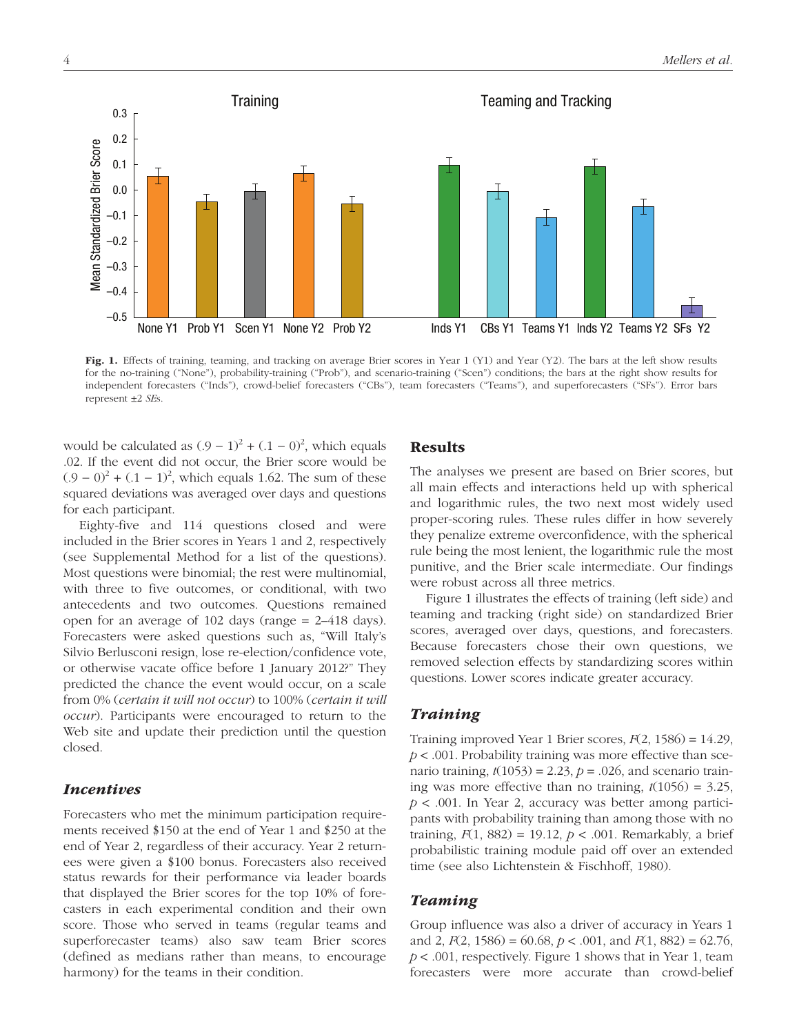$-0.5$  $-0.4$ –0.3  $-0.2$ –0.1 0.0 None Y1 Prob Y1 Scen Y1 None Y2 Prob Y2 Inds Y1 CBs Y1 Teams Y1 Inds Y2 Teams Y2 SFs

Fig. 1. Effects of training, teaming, and tracking on average Brier scores in Year 1 (Y1) and Year (Y2). The bars at the left show results for the no-training ("None"), probability-training ("Prob"), and scenario-training ("Scen") conditions; the bars at the right show results for independent forecasters ("Inds"), crowd-belief forecasters ("CBs"), team forecasters ("Teams"), and superforecasters ("SFs"). Error bars represent ±2 *SE*s.

would be calculated as  $(0, -1)^2 + (0.1 - 0)^2$ , which equals .02. If the event did not occur, the Brier score would be  $(0.9 - 0)^2 + (0.1 - 1)^2$ , which equals 1.62. The sum of these squared deviations was averaged over days and questions for each participant.

Eighty-five and 114 questions closed and were included in the Brier scores in Years 1 and 2, respectively (see Supplemental Method for a list of the questions). Most questions were binomial; the rest were multinomial, with three to five outcomes, or conditional, with two antecedents and two outcomes. Questions remained open for an average of 102 days (range = 2–418 days). Forecasters were asked questions such as, "Will Italy's Silvio Berlusconi resign, lose re-election/confidence vote, or otherwise vacate office before 1 January 2012?" They predicted the chance the event would occur, on a scale from 0% (*certain it will not occur*) to 100% (*certain it will occur*). Participants were encouraged to return to the Web site and update their prediction until the question closed.

## *Incentives*

Forecasters who met the minimum participation requirements received \$150 at the end of Year 1 and \$250 at the end of Year 2, regardless of their accuracy. Year 2 returnees were given a \$100 bonus. Forecasters also received status rewards for their performance via leader boards that displayed the Brier scores for the top 10% of forecasters in each experimental condition and their own score. Those who served in teams (regular teams and superforecaster teams) also saw team Brier scores (defined as medians rather than means, to encourage harmony) for the teams in their condition.

# Results

The analyses we present are based on Brier scores, but all main effects and interactions held up with spherical and logarithmic rules, the two next most widely used proper-scoring rules. These rules differ in how severely they penalize extreme overconfidence, with the spherical rule being the most lenient, the logarithmic rule the most punitive, and the Brier scale intermediate. Our findings were robust across all three metrics.

Figure 1 illustrates the effects of training (left side) and teaming and tracking (right side) on standardized Brier scores, averaged over days, questions, and forecasters. Because forecasters chose their own questions, we removed selection effects by standardizing scores within questions. Lower scores indicate greater accuracy.

## *Training*

Training improved Year 1 Brier scores, *F*(2, 1586) = 14.29, *p* < .001. Probability training was more effective than scenario training,  $t(1053) = 2.23$ ,  $p = .026$ , and scenario training was more effective than no training,  $t(1056) = 3.25$ , *p* < .001. In Year 2, accuracy was better among participants with probability training than among those with no training,  $F(1, 882) = 19.12$ ,  $p < .001$ . Remarkably, a brief probabilistic training module paid off over an extended time (see also Lichtenstein & Fischhoff, 1980).

# *Teaming*

Group influence was also a driver of accuracy in Years 1 and 2, *F*(2, 1586) = 60.68, *p* < .001, and *F*(1, 882) = 62.76, *p* < .001, respectively. Figure 1 shows that in Year 1, team forecasters were more accurate than crowd-belief

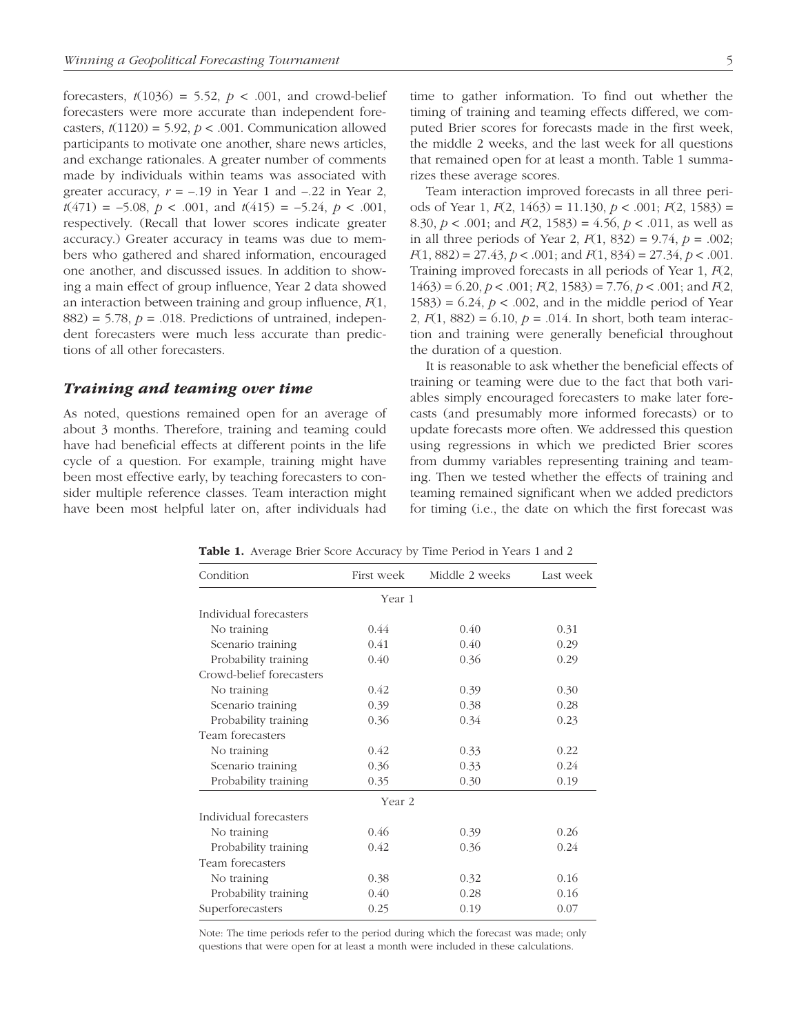forecasters,  $t(1036) = 5.52$ ,  $p < .001$ , and crowd-belief forecasters were more accurate than independent forecasters,  $t(1120) = 5.92$ ,  $p < .001$ . Communication allowed participants to motivate one another, share news articles, and exchange rationales. A greater number of comments made by individuals within teams was associated with greater accuracy,  $r = -.19$  in Year 1 and  $-.22$  in Year 2, *t*(471) = –5.08, *p* < .001, and *t*(415) = –5.24, *p* < .001, respectively. (Recall that lower scores indicate greater accuracy.) Greater accuracy in teams was due to members who gathered and shared information, encouraged one another, and discussed issues. In addition to showing a main effect of group influence, Year 2 data showed an interaction between training and group influence, *F*(1,  $882$ ) = 5.78,  $p = .018$ . Predictions of untrained, independent forecasters were much less accurate than predictions of all other forecasters.

## *Training and teaming over time*

As noted, questions remained open for an average of about 3 months. Therefore, training and teaming could have had beneficial effects at different points in the life cycle of a question. For example, training might have been most effective early, by teaching forecasters to consider multiple reference classes. Team interaction might have been most helpful later on, after individuals had time to gather information. To find out whether the timing of training and teaming effects differed, we computed Brier scores for forecasts made in the first week, the middle 2 weeks, and the last week for all questions that remained open for at least a month. Table 1 summarizes these average scores.

Team interaction improved forecasts in all three periods of Year 1,  $F(2, 1463) = 11.130$ ,  $p < .001$ ;  $F(2, 1583) =$ 8.30, *p* < .001; and *F*(2, 1583) = 4.56, *p* < .011, as well as in all three periods of Year 2,  $F(1, 832) = 9.74$ ,  $p = .002$ ; *F*(1, 882) = 27.43, *p* < .001; and *F*(1, 834) = 27.34, *p* < .001. Training improved forecasts in all periods of Year 1, *F*(2,  $1463$ ) = 6.20, *p* < .001;  $F(2, 1583) = 7.76$ , *p* < .001; and  $F(2, 1583) = 7.76$  $1583$ ) = 6.24,  $p < .002$ , and in the middle period of Year 2,  $F(1, 882) = 6.10, p = .014$ . In short, both team interaction and training were generally beneficial throughout the duration of a question.

It is reasonable to ask whether the beneficial effects of training or teaming were due to the fact that both variables simply encouraged forecasters to make later forecasts (and presumably more informed forecasts) or to update forecasts more often. We addressed this question using regressions in which we predicted Brier scores from dummy variables representing training and teaming. Then we tested whether the effects of training and teaming remained significant when we added predictors for timing (i.e., the date on which the first forecast was

| Condition                | First week | Middle 2 weeks | Last week |
|--------------------------|------------|----------------|-----------|
|                          | Year 1     |                |           |
| Individual forecasters   |            |                |           |
| No training              | 0.44       | 0.40           | 0.31      |
| Scenario training        | 0.41       | 0.40           | 0.29      |
| Probability training     | 0.40       | 0.36           | 0.29      |
| Crowd-belief forecasters |            |                |           |
| No training              | 0.42       | 0.39           | 0.30      |
| Scenario training        | 0.39       | 0.38           | 0.28      |
| Probability training     | 0.36       | 0.34           | 0.23      |
| Team forecasters         |            |                |           |
| No training              | 0.42       | 0.33           | 0.22      |
| Scenario training        | 0.36       | 0.33           | 0.24      |
| Probability training     | 0.35       | 0.30           | 0.19      |
|                          | Year 2     |                |           |
| Individual forecasters   |            |                |           |
| No training              | 0.46       | 0.39           | 0.26      |
| Probability training     | 0.42       | 0.36           | 0.24      |
| Team forecasters         |            |                |           |
| No training              | 0.38       | 0.32           | 0.16      |
| Probability training     | 0.40       | 0.28           | 0.16      |
| Superforecasters         | 0.25       | 0.19           | 0.07      |

Table 1. Average Brier Score Accuracy by Time Period in Years 1 and 2

Note: The time periods refer to the period during which the forecast was made; only questions that were open for at least a month were included in these calculations.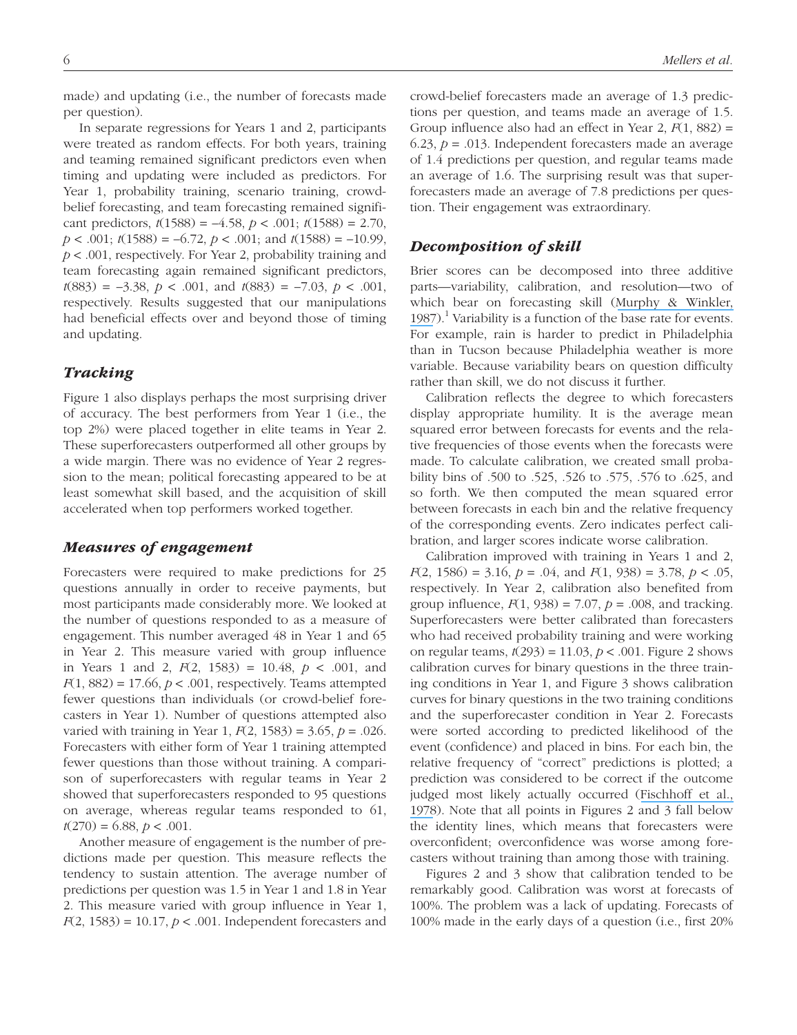made) and updating (i.e., the number of forecasts made per question).

In separate regressions for Years 1 and 2, participants were treated as random effects. For both years, training and teaming remained significant predictors even when timing and updating were included as predictors. For Year 1, probability training, scenario training, crowdbelief forecasting, and team forecasting remained significant predictors,  $t(1588) = -4.58$ ,  $p < .001$ ;  $t(1588) = 2.70$ , *p* < .001; *t*(1588) = –6.72, *p* < .001; and *t*(1588) = –10.99, *p* < .001, respectively. For Year 2, probability training and team forecasting again remained significant predictors, *t*(883) = –3.38, *p* < .001, and *t*(883) = –7.03, *p* < .001, respectively. Results suggested that our manipulations had beneficial effects over and beyond those of timing and updating.

## *Tracking*

Figure 1 also displays perhaps the most surprising driver of accuracy. The best performers from Year 1 (i.e., the top 2%) were placed together in elite teams in Year 2. These superforecasters outperformed all other groups by a wide margin. There was no evidence of Year 2 regression to the mean; political forecasting appeared to be at least somewhat skill based, and the acquisition of skill accelerated when top performers worked together.

## *Measures of engagement*

Forecasters were required to make predictions for 25 questions annually in order to receive payments, but most participants made considerably more. We looked at the number of questions responded to as a measure of engagement. This number averaged 48 in Year 1 and 65 in Year 2. This measure varied with group influence in Years 1 and 2, *F*(2, 1583) = 10.48, *p* < .001, and *F*(1, 882) = 17.66, *p* < .001, respectively. Teams attempted fewer questions than individuals (or crowd-belief forecasters in Year 1). Number of questions attempted also varied with training in Year 1, *F*(2, 1583) = 3.65, *p* = .026. Forecasters with either form of Year 1 training attempted fewer questions than those without training. A comparison of superforecasters with regular teams in Year 2 showed that superforecasters responded to 95 questions on average, whereas regular teams responded to 61,  $t(270) = 6.88, p < .001.$ 

Another measure of engagement is the number of predictions made per question. This measure reflects the tendency to sustain attention. The average number of predictions per question was 1.5 in Year 1 and 1.8 in Year 2. This measure varied with group influence in Year 1, *F*(2, 1583) = 10.17, *p* < .001. Independent forecasters and crowd-belief forecasters made an average of 1.3 predictions per question, and teams made an average of 1.5. Group influence also had an effect in Year 2, *F*(1, 882) = 6.23,  $p = .013$ . Independent forecasters made an average of 1.4 predictions per question, and regular teams made an average of 1.6. The surprising result was that superforecasters made an average of 7.8 predictions per question. Their engagement was extraordinary.

## *Decomposition of skill*

Brier scores can be decomposed into three additive parts—variability, calibration, and resolution—two of which bear on forecasting skill ([Murphy & Winkler,](https://www.researchgate.net/publication/243766582_A_General_Framework_for_Forecast_Verification?el=1_x_8&enrichId=rgreq-c4c7e393-1d98-4f72-8ee0-c48a1c2e5f1b&enrichSource=Y292ZXJQYWdlOzI2MTAzNDkzODtBUzoxMDMwNjAwNTk3MjE3MzZAMTQwMTU4Mjg0MzAwMw==)  [1987](https://www.researchgate.net/publication/243766582_A_General_Framework_for_Forecast_Verification?el=1_x_8&enrichId=rgreq-c4c7e393-1d98-4f72-8ee0-c48a1c2e5f1b&enrichSource=Y292ZXJQYWdlOzI2MTAzNDkzODtBUzoxMDMwNjAwNTk3MjE3MzZAMTQwMTU4Mjg0MzAwMw==)).<sup>1</sup> Variability is a function of the base rate for events. For example, rain is harder to predict in Philadelphia than in Tucson because Philadelphia weather is more variable. Because variability bears on question difficulty rather than skill, we do not discuss it further.

Calibration reflects the degree to which forecasters display appropriate humility. It is the average mean squared error between forecasts for events and the relative frequencies of those events when the forecasts were made. To calculate calibration, we created small probability bins of .500 to .525, .526 to .575, .576 to .625, and so forth. We then computed the mean squared error between forecasts in each bin and the relative frequency of the corresponding events. Zero indicates perfect calibration, and larger scores indicate worse calibration.

Calibration improved with training in Years 1 and 2, *F*(2, 1586) = 3.16, *p* = .04, and *F*(1, 938) = 3.78, *p* < .05, respectively. In Year 2, calibration also benefited from group influence,  $F(1, 938) = 7.07$ ,  $p = .008$ , and tracking. Superforecasters were better calibrated than forecasters who had received probability training and were working on regular teams, *t*(293) = 11.03, *p* < .001. Figure 2 shows calibration curves for binary questions in the three training conditions in Year 1, and Figure 3 shows calibration curves for binary questions in the two training conditions and the superforecaster condition in Year 2. Forecasts were sorted according to predicted likelihood of the event (confidence) and placed in bins. For each bin, the relative frequency of "correct" predictions is plotted; a prediction was considered to be correct if the outcome judged most likely actually occurred ([Fischhoff et al.,](https://www.researchgate.net/publication/232588003_Fault_Trees_Sensitivity_of_Estimated_Failure_Probability_to_Problem_Representation?el=1_x_8&enrichId=rgreq-c4c7e393-1d98-4f72-8ee0-c48a1c2e5f1b&enrichSource=Y292ZXJQYWdlOzI2MTAzNDkzODtBUzoxMDMwNjAwNTk3MjE3MzZAMTQwMTU4Mjg0MzAwMw==)  [1978](https://www.researchgate.net/publication/232588003_Fault_Trees_Sensitivity_of_Estimated_Failure_Probability_to_Problem_Representation?el=1_x_8&enrichId=rgreq-c4c7e393-1d98-4f72-8ee0-c48a1c2e5f1b&enrichSource=Y292ZXJQYWdlOzI2MTAzNDkzODtBUzoxMDMwNjAwNTk3MjE3MzZAMTQwMTU4Mjg0MzAwMw==)). Note that all points in Figures 2 and 3 fall below the identity lines, which means that forecasters were overconfident; overconfidence was worse among forecasters without training than among those with training.

Figures 2 and 3 show that calibration tended to be remarkably good. Calibration was worst at forecasts of 100%. The problem was a lack of updating. Forecasts of 100% made in the early days of a question (i.e., first 20%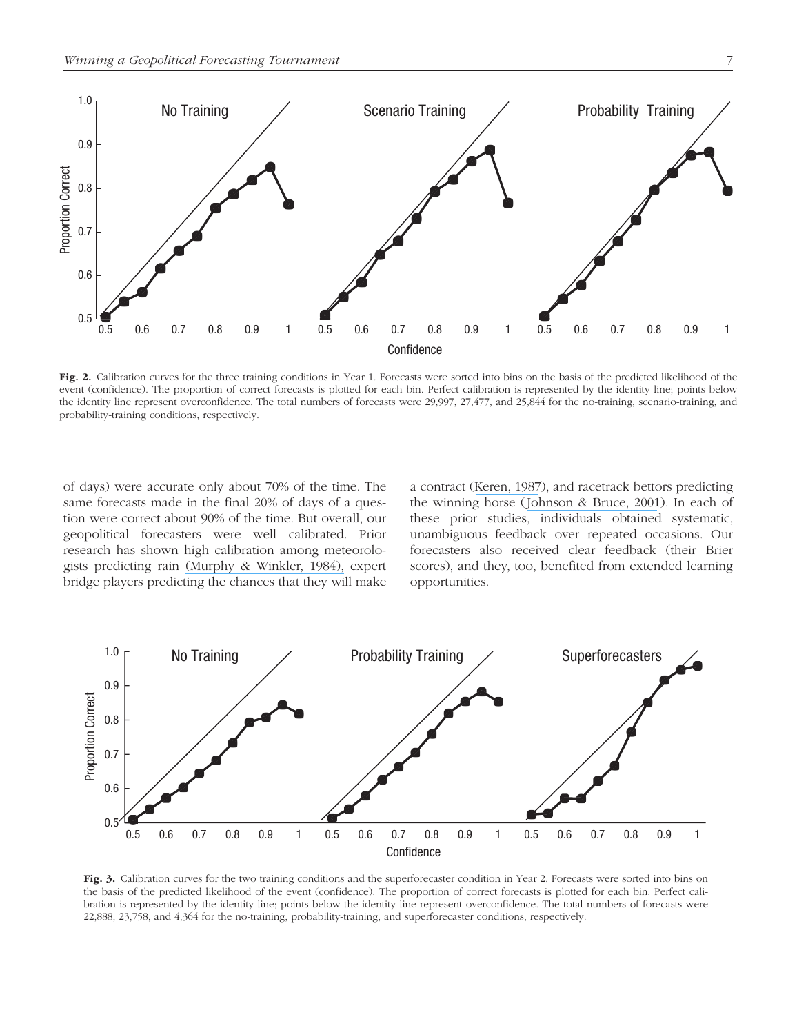

Fig. 2. Calibration curves for the three training conditions in Year 1. Forecasts were sorted into bins on the basis of the predicted likelihood of the event (confidence). The proportion of correct forecasts is plotted for each bin. Perfect calibration is represented by the identity line; points below the identity line represent overconfidence. The total numbers of forecasts were 29,997, 27,477, and 25,844 for the no-training, scenario-training, and probability-training conditions, respectively.

of days) were accurate only about 70% of the time. The same forecasts made in the final 20% of days of a question were correct about 90% of the time. But overall, our geopolitical forecasters were well calibrated. Prior research has shown high calibration among meteorologists predicting rain [\(Murphy & Winkler, 1984\),](https://www.researchgate.net/publication/243770457_Probability_Forecasting_in_Meterology?el=1_x_8&enrichId=rgreq-c4c7e393-1d98-4f72-8ee0-c48a1c2e5f1b&enrichSource=Y292ZXJQYWdlOzI2MTAzNDkzODtBUzoxMDMwNjAwNTk3MjE3MzZAMTQwMTU4Mjg0MzAwMw==) expert bridge players predicting the chances that they will make a contract ([Keren, 1987](https://www.researchgate.net/publication/222472624_Facing_uncertainty_in_the_game_of_Bridge_A_calibration_study?el=1_x_8&enrichId=rgreq-c4c7e393-1d98-4f72-8ee0-c48a1c2e5f1b&enrichSource=Y292ZXJQYWdlOzI2MTAzNDkzODtBUzoxMDMwNjAwNTk3MjE3MzZAMTQwMTU4Mjg0MzAwMw==)), and racetrack bettors predicting the winning horse ([Johnson & Bruce, 2001](https://www.researchgate.net/publication/223851355_Calibration_of_Subjective_Probability_Judgments_in_a_Naturalistic_Setting?el=1_x_8&enrichId=rgreq-c4c7e393-1d98-4f72-8ee0-c48a1c2e5f1b&enrichSource=Y292ZXJQYWdlOzI2MTAzNDkzODtBUzoxMDMwNjAwNTk3MjE3MzZAMTQwMTU4Mjg0MzAwMw==)). In each of these prior studies, individuals obtained systematic, unambiguous feedback over repeated occasions. Our forecasters also received clear feedback (their Brier scores), and they, too, benefited from extended learning opportunities.



Fig. 3. Calibration curves for the two training conditions and the superforecaster condition in Year 2. Forecasts were sorted into bins on the basis of the predicted likelihood of the event (confidence). The proportion of correct forecasts is plotted for each bin. Perfect calibration is represented by the identity line; points below the identity line represent overconfidence. The total numbers of forecasts were 22,888, 23,758, and 4,364 for the no-training, probability-training, and superforecaster conditions, respectively.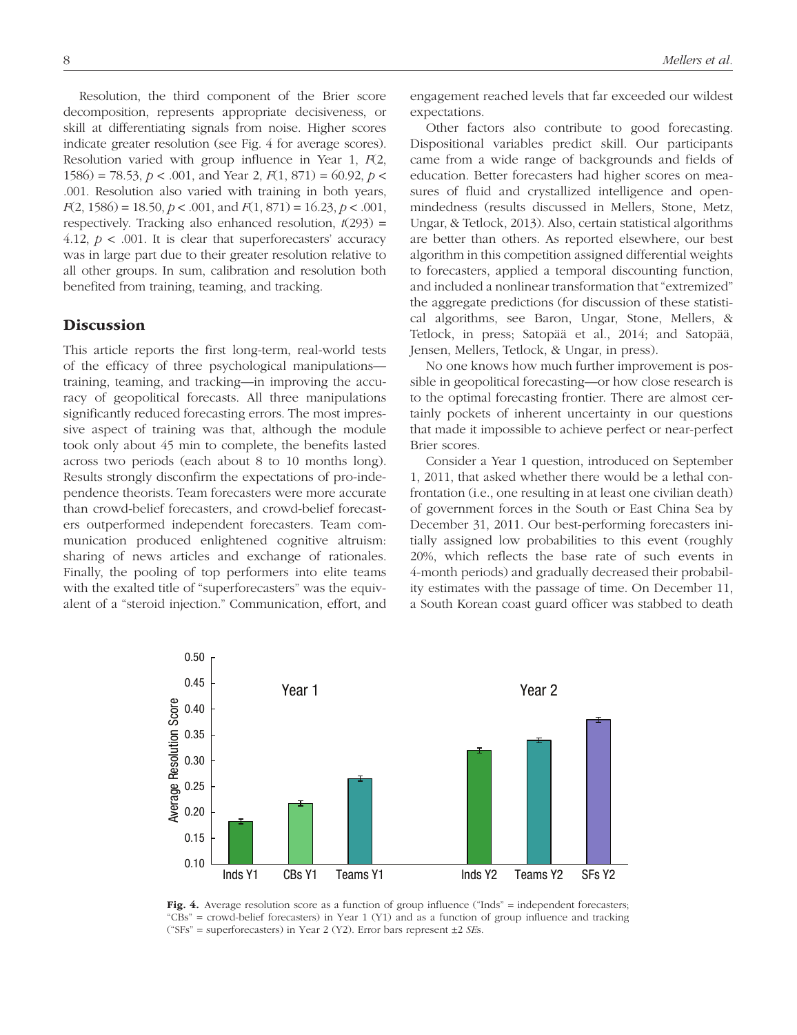Resolution, the third component of the Brier score decomposition, represents appropriate decisiveness, or skill at differentiating signals from noise. Higher scores indicate greater resolution (see Fig. 4 for average scores). Resolution varied with group influence in Year 1, *F*(2, 1586) = 78.53, *p* < .001, and Year 2, *F*(1, 871) = 60.92, *p* < .001. Resolution also varied with training in both years, *F*(2, 1586) = 18.50, *p* < .001, and *F*(1, 871) = 16.23, *p* < .001, respectively. Tracking also enhanced resolution,  $t(293)$  = 4.12,  $p < .001$ . It is clear that superforecasters' accuracy was in large part due to their greater resolution relative to all other groups. In sum, calibration and resolution both benefited from training, teaming, and tracking.

# **Discussion**

This article reports the first long-term, real-world tests of the efficacy of three psychological manipulations training, teaming, and tracking—in improving the accuracy of geopolitical forecasts. All three manipulations significantly reduced forecasting errors. The most impressive aspect of training was that, although the module took only about 45 min to complete, the benefits lasted across two periods (each about 8 to 10 months long). Results strongly disconfirm the expectations of pro-independence theorists. Team forecasters were more accurate than crowd-belief forecasters, and crowd-belief forecasters outperformed independent forecasters. Team communication produced enlightened cognitive altruism: sharing of news articles and exchange of rationales. Finally, the pooling of top performers into elite teams with the exalted title of "superforecasters" was the equivalent of a "steroid injection." Communication, effort, and

8 *Mellers et al.*

engagement reached levels that far exceeded our wildest expectations.

Other factors also contribute to good forecasting. Dispositional variables predict skill. Our participants came from a wide range of backgrounds and fields of education. Better forecasters had higher scores on measures of fluid and crystallized intelligence and openmindedness (results discussed in Mellers, Stone, Metz, Ungar, & Tetlock, 2013). Also, certain statistical algorithms are better than others. As reported elsewhere, our best algorithm in this competition assigned differential weights to forecasters, applied a temporal discounting function, and included a nonlinear transformation that "extremized" the aggregate predictions (for discussion of these statistical algorithms, see Baron, Ungar, Stone, Mellers, & Tetlock, in press; Satopää et al., 2014; and Satopää, Jensen, Mellers, Tetlock, & Ungar, in press).

No one knows how much further improvement is possible in geopolitical forecasting—or how close research is to the optimal forecasting frontier. There are almost certainly pockets of inherent uncertainty in our questions that made it impossible to achieve perfect or near-perfect Brier scores.

Consider a Year 1 question, introduced on September 1, 2011, that asked whether there would be a lethal confrontation (i.e., one resulting in at least one civilian death) of government forces in the South or East China Sea by December 31, 2011. Our best-performing forecasters initially assigned low probabilities to this event (roughly 20%, which reflects the base rate of such events in 4-month periods) and gradually decreased their probability estimates with the passage of time. On December 11, a South Korean coast guard officer was stabbed to death



Fig. 4. Average resolution score as a function of group influence ("Inds" = independent forecasters; "CBs" = crowd-belief forecasters) in Year 1 (Y1) and as a function of group influence and tracking ("SFs" = superforecasters) in Year 2 (Y2). Error bars represent ±2 *SE*s.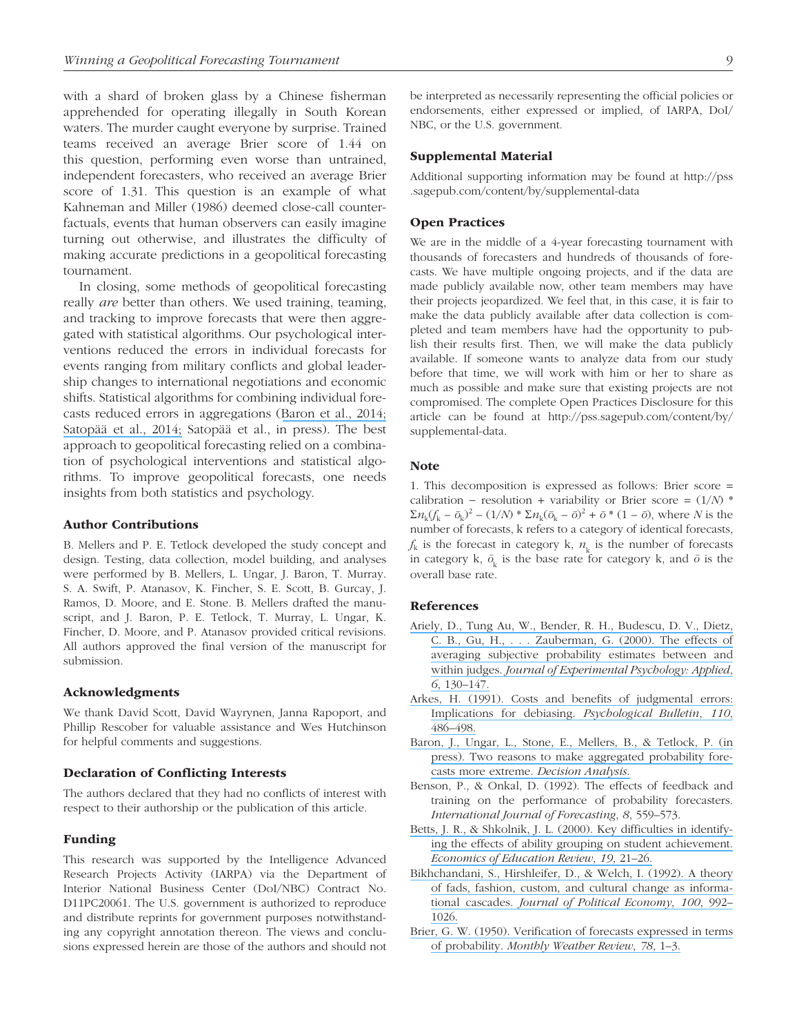with a shard of broken glass by a Chinese fisherman apprehended for operating illegally in South Korean waters. The murder caught everyone by surprise. Trained teams received an average Brier score of 1.44 on this question, performing even worse than untrained, independent forecasters, who received an average Brier score of 1.31. This question is an example of what Kahneman and Miller (1986) deemed close-call counterfactuals, events that human observers can easily imagine turning out otherwise, and illustrates the difficulty of making accurate predictions in a geopolitical forecasting tournament.

In closing, some methods of geopolitical forecasting really *are* better than others. We used training, teaming, and tracking to improve forecasts that were then aggregated with statistical algorithms. Our psychological interventions reduced the errors in individual forecasts for events ranging from military conflicts and global leadership changes to international negotiations and economic shifts. Statistical algorithms for combining individual forecasts reduced errors in aggregations ([Baron et al., 2014;](https://www.researchgate.net/publication/260030454_Combining_multiple_probability_predictions_using_a_simple_logit_model?el=1_x_8&enrichId=rgreq-c4c7e393-1d98-4f72-8ee0-c48a1c2e5f1b&enrichSource=Y292ZXJQYWdlOzI2MTAzNDkzODtBUzoxMDMwNjAwNTk3MjE3MzZAMTQwMTU4Mjg0MzAwMw==)  [Satopää et al., 2014;](https://www.researchgate.net/publication/260030454_Combining_multiple_probability_predictions_using_a_simple_logit_model?el=1_x_8&enrichId=rgreq-c4c7e393-1d98-4f72-8ee0-c48a1c2e5f1b&enrichSource=Y292ZXJQYWdlOzI2MTAzNDkzODtBUzoxMDMwNjAwNTk3MjE3MzZAMTQwMTU4Mjg0MzAwMw==) Satopää et al., in press). The best approach to geopolitical forecasting relied on a combination of psychological interventions and statistical algorithms. To improve geopolitical forecasts, one needs insights from both statistics and psychology.

#### Author Contributions

B. Mellers and P. E. Tetlock developed the study concept and design. Testing, data collection, model building, and analyses were performed by B. Mellers, L. Ungar, J. Baron, T. Murray. S. A. Swift, P. Atanasov, K. Fincher, S. E. Scott, B. Gurcay, J. Ramos, D. Moore, and E. Stone. B. Mellers drafted the manuscript, and J. Baron, P. E. Tetlock, T. Murray, L. Ungar, K. Fincher, D. Moore, and P. Atanasov provided critical revisions. All authors approved the final version of the manuscript for submission.

#### Acknowledgments

We thank David Scott, David Wayrynen, Janna Rapoport, and Phillip Rescober for valuable assistance and Wes Hutchinson for helpful comments and suggestions.

#### Declaration of Conflicting Interests

The authors declared that they had no conflicts of interest with respect to their authorship or the publication of this article.

#### Funding

This research was supported by the Intelligence Advanced Research Projects Activity (IARPA) via the Department of Interior National Business Center (DoI/NBC) Contract No. D11PC20061. The U.S. government is authorized to reproduce and distribute reprints for government purposes notwithstanding any copyright annotation thereon. The views and conclusions expressed herein are those of the authors and should not

be interpreted as necessarily representing the official policies or endorsements, either expressed or implied, of IARPA, DoI/ NBC, or the U.S. government.

#### Supplemental Material

Additional supporting information may be found at http://pss .sagepub.com/content/by/supplemental-data

#### Open Practices

We are in the middle of a 4-year forecasting tournament with thousands of forecasters and hundreds of thousands of forecasts. We have multiple ongoing projects, and if the data are made publicly available now, other team members may have their projects jeopardized. We feel that, in this case, it is fair to make the data publicly available after data collection is completed and team members have had the opportunity to publish their results first. Then, we will make the data publicly available. If someone wants to analyze data from our study before that time, we will work with him or her to share as much as possible and make sure that existing projects are not compromised. The complete Open Practices Disclosure for this article can be found at http://pss.sagepub.com/content/by/ supplemental-data.

#### Note

1. This decomposition is expressed as follows: Brier score = calibration − resolution + variability or Brier score = (1/*N*) \*  $\sum n_k (f_k - \bar{\sigma}_k)^2 - (1/N)^* \sum n_k (\bar{\sigma}_k - \bar{\sigma})^2 + \bar{\sigma}^* (1 - \bar{\sigma})$ , where *N* is the number of forecasts, k refers to a category of identical forecasts,  $f_k$  is the forecast in category k,  $n_k$  is the number of forecasts in category k, *o –*  $\bar{k}$  is the base rate for category k, and  $\bar{o}$  is the overall base rate.

#### References

- [Ariely, D., Tung Au, W., Bender, R. H., Budescu, D. V., Dietz,](https://www.researchgate.net/publication/232599275_The_Effects_of_Averaging_Subjective_Probability_Estimates_Between_and_Within_Judges?el=1_x_8&enrichId=rgreq-c4c7e393-1d98-4f72-8ee0-c48a1c2e5f1b&enrichSource=Y292ZXJQYWdlOzI2MTAzNDkzODtBUzoxMDMwNjAwNTk3MjE3MzZAMTQwMTU4Mjg0MzAwMw==) [C. B., Gu, H., . . . Zauberman, G. \(2000\). The effects of](https://www.researchgate.net/publication/232599275_The_Effects_of_Averaging_Subjective_Probability_Estimates_Between_and_Within_Judges?el=1_x_8&enrichId=rgreq-c4c7e393-1d98-4f72-8ee0-c48a1c2e5f1b&enrichSource=Y292ZXJQYWdlOzI2MTAzNDkzODtBUzoxMDMwNjAwNTk3MjE3MzZAMTQwMTU4Mjg0MzAwMw==)  [averaging subjective probability estimates between and](https://www.researchgate.net/publication/232599275_The_Effects_of_Averaging_Subjective_Probability_Estimates_Between_and_Within_Judges?el=1_x_8&enrichId=rgreq-c4c7e393-1d98-4f72-8ee0-c48a1c2e5f1b&enrichSource=Y292ZXJQYWdlOzI2MTAzNDkzODtBUzoxMDMwNjAwNTk3MjE3MzZAMTQwMTU4Mjg0MzAwMw==) within judges. *[Journal of Experimental Psychology: Applied](https://www.researchgate.net/publication/232599275_The_Effects_of_Averaging_Subjective_Probability_Estimates_Between_and_Within_Judges?el=1_x_8&enrichId=rgreq-c4c7e393-1d98-4f72-8ee0-c48a1c2e5f1b&enrichSource=Y292ZXJQYWdlOzI2MTAzNDkzODtBUzoxMDMwNjAwNTk3MjE3MzZAMTQwMTU4Mjg0MzAwMw==)*, *6*[, 130–147.](https://www.researchgate.net/publication/232599275_The_Effects_of_Averaging_Subjective_Probability_Estimates_Between_and_Within_Judges?el=1_x_8&enrichId=rgreq-c4c7e393-1d98-4f72-8ee0-c48a1c2e5f1b&enrichSource=Y292ZXJQYWdlOzI2MTAzNDkzODtBUzoxMDMwNjAwNTk3MjE3MzZAMTQwMTU4Mjg0MzAwMw==)
- [Arkes, H. \(1991\). Costs and benefits of judgmental errors:](https://www.researchgate.net/publication/278947150_Costs_and_benefits_of_judgment_errors_Implications_for_debiasing?el=1_x_8&enrichId=rgreq-c4c7e393-1d98-4f72-8ee0-c48a1c2e5f1b&enrichSource=Y292ZXJQYWdlOzI2MTAzNDkzODtBUzoxMDMwNjAwNTk3MjE3MzZAMTQwMTU4Mjg0MzAwMw==) [Implications for debiasing.](https://www.researchgate.net/publication/278947150_Costs_and_benefits_of_judgment_errors_Implications_for_debiasing?el=1_x_8&enrichId=rgreq-c4c7e393-1d98-4f72-8ee0-c48a1c2e5f1b&enrichSource=Y292ZXJQYWdlOzI2MTAzNDkzODtBUzoxMDMwNjAwNTk3MjE3MzZAMTQwMTU4Mjg0MzAwMw==) *Psychological Bulletin*, *110*, [486–498.](https://www.researchgate.net/publication/278947150_Costs_and_benefits_of_judgment_errors_Implications_for_debiasing?el=1_x_8&enrichId=rgreq-c4c7e393-1d98-4f72-8ee0-c48a1c2e5f1b&enrichSource=Y292ZXJQYWdlOzI2MTAzNDkzODtBUzoxMDMwNjAwNTk3MjE3MzZAMTQwMTU4Mjg0MzAwMw==)
- [Baron, J., Ungar, L., Stone, E., Mellers, B., & Tetlock, P. \(in](https://www.researchgate.net/publication/275937752_Two_Reasons_to_Make_Aggregated_Probability_Forecasts_More_Extreme?el=1_x_8&enrichId=rgreq-c4c7e393-1d98-4f72-8ee0-c48a1c2e5f1b&enrichSource=Y292ZXJQYWdlOzI2MTAzNDkzODtBUzoxMDMwNjAwNTk3MjE3MzZAMTQwMTU4Mjg0MzAwMw==) [press\). Two reasons to make aggregated probability fore](https://www.researchgate.net/publication/275937752_Two_Reasons_to_Make_Aggregated_Probability_Forecasts_More_Extreme?el=1_x_8&enrichId=rgreq-c4c7e393-1d98-4f72-8ee0-c48a1c2e5f1b&enrichSource=Y292ZXJQYWdlOzI2MTAzNDkzODtBUzoxMDMwNjAwNTk3MjE3MzZAMTQwMTU4Mjg0MzAwMw==)[casts more extreme.](https://www.researchgate.net/publication/275937752_Two_Reasons_to_Make_Aggregated_Probability_Forecasts_More_Extreme?el=1_x_8&enrichId=rgreq-c4c7e393-1d98-4f72-8ee0-c48a1c2e5f1b&enrichSource=Y292ZXJQYWdlOzI2MTAzNDkzODtBUzoxMDMwNjAwNTk3MjE3MzZAMTQwMTU4Mjg0MzAwMw==) *Decision Analysis*.
- Benson, P., & Onkal, D. (1992). The effects of feedback and training on the performance of probability forecasters. *International Journal of Forecasting*, *8*, 559–573.
- [Betts, J. R., & Shkolnik, J. L. \(2000\). Key difficulties in identify](https://www.researchgate.net/publication/279601279_Key_difficulties_in_identifying_the_effects_of_ability_grouping_on_student_achievement?el=1_x_8&enrichId=rgreq-c4c7e393-1d98-4f72-8ee0-c48a1c2e5f1b&enrichSource=Y292ZXJQYWdlOzI2MTAzNDkzODtBUzoxMDMwNjAwNTk3MjE3MzZAMTQwMTU4Mjg0MzAwMw==)[ing the effects of ability grouping on student achievement.](https://www.researchgate.net/publication/279601279_Key_difficulties_in_identifying_the_effects_of_ability_grouping_on_student_achievement?el=1_x_8&enrichId=rgreq-c4c7e393-1d98-4f72-8ee0-c48a1c2e5f1b&enrichSource=Y292ZXJQYWdlOzI2MTAzNDkzODtBUzoxMDMwNjAwNTk3MjE3MzZAMTQwMTU4Mjg0MzAwMw==) *[Economics of Education Review](https://www.researchgate.net/publication/279601279_Key_difficulties_in_identifying_the_effects_of_ability_grouping_on_student_achievement?el=1_x_8&enrichId=rgreq-c4c7e393-1d98-4f72-8ee0-c48a1c2e5f1b&enrichSource=Y292ZXJQYWdlOzI2MTAzNDkzODtBUzoxMDMwNjAwNTk3MjE3MzZAMTQwMTU4Mjg0MzAwMw==)*, *19*, 21–26.
- [Bikhchandani, S., Hirshleifer, D., & Welch, I. \(1992\). A theory](https://www.researchgate.net/publication/24103748_Ivo_Welch_1992_A_Theory_of_Fads_Fashion_Custom_and_Cultural_Change_as_Informational_Cascades?el=1_x_8&enrichId=rgreq-c4c7e393-1d98-4f72-8ee0-c48a1c2e5f1b&enrichSource=Y292ZXJQYWdlOzI2MTAzNDkzODtBUzoxMDMwNjAwNTk3MjE3MzZAMTQwMTU4Mjg0MzAwMw==)  [of fads, fashion, custom, and cultural change as informa](https://www.researchgate.net/publication/24103748_Ivo_Welch_1992_A_Theory_of_Fads_Fashion_Custom_and_Cultural_Change_as_Informational_Cascades?el=1_x_8&enrichId=rgreq-c4c7e393-1d98-4f72-8ee0-c48a1c2e5f1b&enrichSource=Y292ZXJQYWdlOzI2MTAzNDkzODtBUzoxMDMwNjAwNTk3MjE3MzZAMTQwMTU4Mjg0MzAwMw==)tional cascades. *[Journal of Political Economy](https://www.researchgate.net/publication/24103748_Ivo_Welch_1992_A_Theory_of_Fads_Fashion_Custom_and_Cultural_Change_as_Informational_Cascades?el=1_x_8&enrichId=rgreq-c4c7e393-1d98-4f72-8ee0-c48a1c2e5f1b&enrichSource=Y292ZXJQYWdlOzI2MTAzNDkzODtBUzoxMDMwNjAwNTk3MjE3MzZAMTQwMTU4Mjg0MzAwMw==)*, *100*, 992– [1026.](https://www.researchgate.net/publication/24103748_Ivo_Welch_1992_A_Theory_of_Fads_Fashion_Custom_and_Cultural_Change_as_Informational_Cascades?el=1_x_8&enrichId=rgreq-c4c7e393-1d98-4f72-8ee0-c48a1c2e5f1b&enrichSource=Y292ZXJQYWdlOzI2MTAzNDkzODtBUzoxMDMwNjAwNTk3MjE3MzZAMTQwMTU4Mjg0MzAwMw==)
- [Brier, G. W. \(1950\). Verification of forecasts expressed in terms](https://www.researchgate.net/publication/235910409_Verification_of_forecasts_expressed_of_probability?el=1_x_8&enrichId=rgreq-c4c7e393-1d98-4f72-8ee0-c48a1c2e5f1b&enrichSource=Y292ZXJQYWdlOzI2MTAzNDkzODtBUzoxMDMwNjAwNTk3MjE3MzZAMTQwMTU4Mjg0MzAwMw==) of probability. *[Monthly Weather Review](https://www.researchgate.net/publication/235910409_Verification_of_forecasts_expressed_of_probability?el=1_x_8&enrichId=rgreq-c4c7e393-1d98-4f72-8ee0-c48a1c2e5f1b&enrichSource=Y292ZXJQYWdlOzI2MTAzNDkzODtBUzoxMDMwNjAwNTk3MjE3MzZAMTQwMTU4Mjg0MzAwMw==)*, *78*, 1–3.